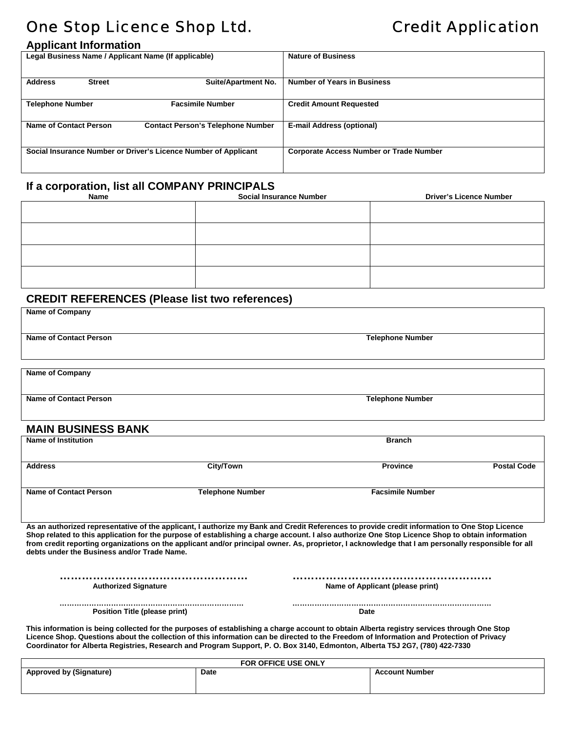# One Stop Licence Shop Ltd. Credit Application

| <b>Applicant Information</b>                                    |                                          |                                                |  |  |
|-----------------------------------------------------------------|------------------------------------------|------------------------------------------------|--|--|
| Legal Business Name / Applicant Name (If applicable)            |                                          | <b>Nature of Business</b>                      |  |  |
|                                                                 |                                          |                                                |  |  |
| <b>Address</b><br><b>Street</b>                                 | <b>Suite/Apartment No.</b>               | <b>Number of Years in Business</b>             |  |  |
|                                                                 |                                          |                                                |  |  |
| <b>Telephone Number</b>                                         | <b>Facsimile Number</b>                  | <b>Credit Amount Requested</b>                 |  |  |
|                                                                 |                                          |                                                |  |  |
| <b>Name of Contact Person</b>                                   | <b>Contact Person's Telephone Number</b> | <b>E-mail Address (optional)</b>               |  |  |
|                                                                 |                                          |                                                |  |  |
| Social Insurance Number or Driver's Licence Number of Applicant |                                          | <b>Corporate Access Number or Trade Number</b> |  |  |
|                                                                 |                                          |                                                |  |  |

## **If a corporation, list all COMPANY PRINCIPALS**

| Name | <b>Social Insurance Number</b> | <b>Driver's Licence Number</b> |
|------|--------------------------------|--------------------------------|
|      |                                |                                |
|      |                                |                                |
|      |                                |                                |
|      |                                |                                |
|      |                                |                                |
|      |                                |                                |
|      |                                |                                |
|      |                                |                                |

### **CREDIT REFERENCES (Please list two references)**

| <b>Name of Company</b>                                                                                                                                                                                                                                                                                                                                                                                                                                                                                 |                         |                                  |                    |  |  |
|--------------------------------------------------------------------------------------------------------------------------------------------------------------------------------------------------------------------------------------------------------------------------------------------------------------------------------------------------------------------------------------------------------------------------------------------------------------------------------------------------------|-------------------------|----------------------------------|--------------------|--|--|
| <b>Name of Contact Person</b>                                                                                                                                                                                                                                                                                                                                                                                                                                                                          |                         | <b>Telephone Number</b>          |                    |  |  |
| <b>Name of Company</b>                                                                                                                                                                                                                                                                                                                                                                                                                                                                                 |                         |                                  |                    |  |  |
| <b>Name of Contact Person</b>                                                                                                                                                                                                                                                                                                                                                                                                                                                                          |                         | <b>Telephone Number</b>          |                    |  |  |
| <b>MAIN BUSINESS BANK</b>                                                                                                                                                                                                                                                                                                                                                                                                                                                                              |                         |                                  |                    |  |  |
| <b>Name of Institution</b>                                                                                                                                                                                                                                                                                                                                                                                                                                                                             |                         | <b>Branch</b>                    |                    |  |  |
| <b>Address</b>                                                                                                                                                                                                                                                                                                                                                                                                                                                                                         | City/Town               | <b>Province</b>                  | <b>Postal Code</b> |  |  |
| <b>Name of Contact Person</b>                                                                                                                                                                                                                                                                                                                                                                                                                                                                          | <b>Telephone Number</b> | <b>Facsimile Number</b>          |                    |  |  |
| As an authorized representative of the applicant, I authorize my Bank and Credit References to provide credit information to One Stop Licence<br>Shop related to this application for the purpose of establishing a charge account. I also authorize One Stop Licence Shop to obtain information<br>from credit reporting organizations on the applicant and/or principal owner. As, proprietor, I acknowledge that I am personally responsible for all<br>debts under the Business and/or Trade Name. |                         |                                  |                    |  |  |
| <b>Authorized Signature</b>                                                                                                                                                                                                                                                                                                                                                                                                                                                                            |                         | Name of Applicant (please print) |                    |  |  |
| Position Title (please print)                                                                                                                                                                                                                                                                                                                                                                                                                                                                          |                         | Date                             |                    |  |  |
| This information is being collected for the purposes of establishing a charge account to obtain Alberta registry services through One Stop<br>Licence Shop. Questions about the collection of this information can be directed to the Freedom of Information and Protection of Privacy<br>Coordinator for Alberta Registries, Research and Program Support, P. O. Box 3140, Edmonton, Alberta T5J 2G7, (780) 422-7330                                                                                  |                         |                                  |                    |  |  |

| FOR OFFICE USE ONLY            |             |                       |  |  |
|--------------------------------|-------------|-----------------------|--|--|
| <b>Approved by (Signature)</b> | <b>Date</b> | <b>Account Number</b> |  |  |
|                                |             |                       |  |  |
|                                |             |                       |  |  |